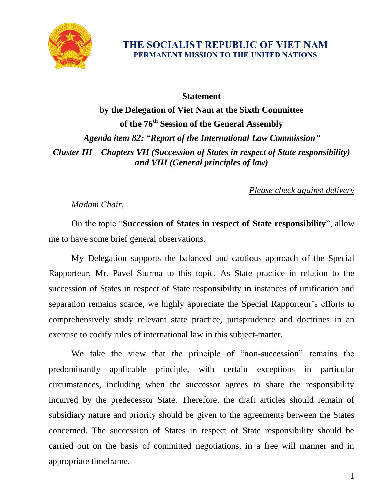

## **THE SOCIALIST REPUBLIC OF VIET NAM PERMANENT MISSION TO THE UNITED NATIONS**

## **Statement**

**by the Delegation of Viet Nam at the Sixth Committee of the 76 th Session of the General Assembly** *Agenda item 82: "Report of the International Law Commission" Cluster III – Chapters VII (Succession of States in respect of State responsibility) and VIII (General principles of law)*

*Please check against delivery*

## *Madam Chair,*

On the topic "**Succession of States in respect of State responsibility**", allow me to have some brief general observations.

My Delegation supports the balanced and cautious approach of the Special Rapporteur, Mr. Pavel Sturma to this topic. As State practice in relation to the succession of States in respect of State responsibility in instances of unification and separation remains scarce, we highly appreciate the Special Rapporteur's efforts to comprehensively study relevant state practice, jurisprudence and doctrines in an exercise to codify rules of international law in this subject-matter.

We take the view that the principle of "non-succession" remains the predominantly applicable principle, with certain exceptions in particular circumstances, including when the successor agrees to share the responsibility incurred by the predecessor State. Therefore, the draft articles should remain of subsidiary nature and priority should be given to the agreements between the States concerned. The succession of States in respect of State responsibility should be carried out on the basis of committed negotiations, in a free will manner and in appropriate timeframe.